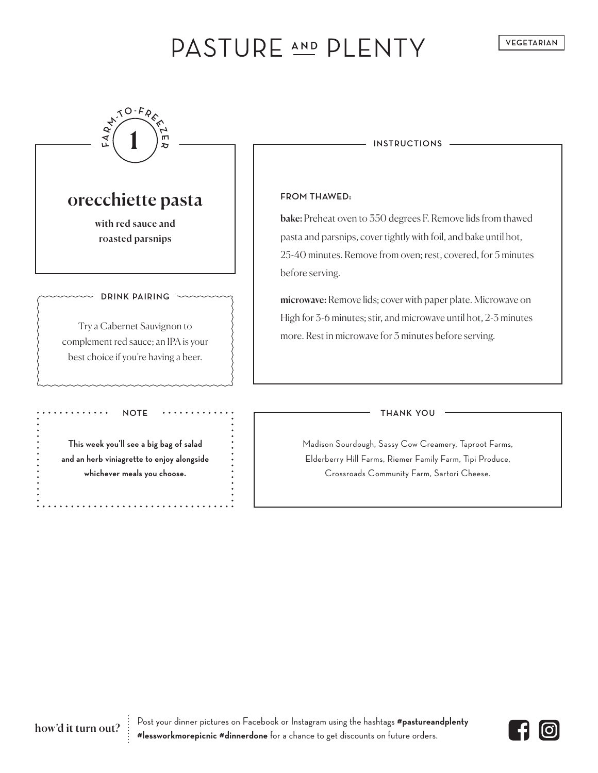# PASTURE AND PLENTY



**This week you'll see a big bag of salad and an herb viniagrette to enjoy alongside whichever meals you choose.**

Madison Sourdough, Sassy Cow Creamery, Taproot Farms, Elderberry Hill Farms, Riemer Family Farm, Tipi Produce, Crossroads Community Farm, Sartori Cheese.